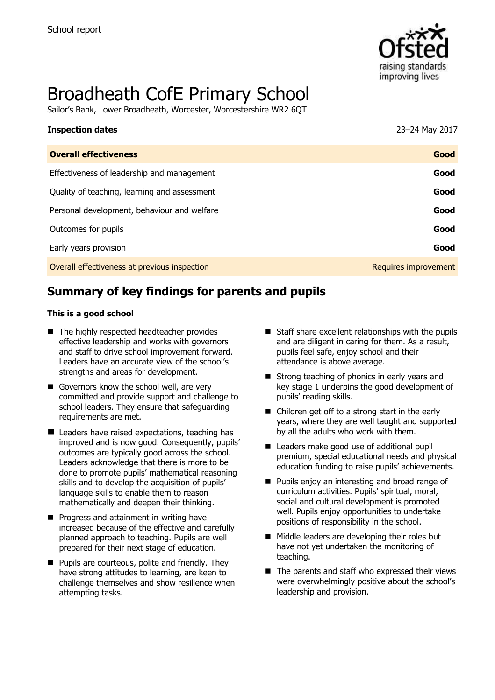

# Broadheath CofE Primary School

Sailor's Bank, Lower Broadheath, Worcester, Worcestershire WR2 6QT

# **Inspection dates** 23–24 May 2017

| <b>Overall effectiveness</b>                 | Good                 |
|----------------------------------------------|----------------------|
| Effectiveness of leadership and management   | Good                 |
| Quality of teaching, learning and assessment | Good                 |
| Personal development, behaviour and welfare  | Good                 |
| Outcomes for pupils                          | Good                 |
| Early years provision                        | Good                 |
| Overall effectiveness at previous inspection | Requires improvement |

# **Summary of key findings for parents and pupils**

#### **This is a good school**

- The highly respected headteacher provides effective leadership and works with governors and staff to drive school improvement forward. Leaders have an accurate view of the school's strengths and areas for development.
- Governors know the school well, are very committed and provide support and challenge to school leaders. They ensure that safeguarding requirements are met.
- Leaders have raised expectations, teaching has improved and is now good. Consequently, pupils' outcomes are typically good across the school. Leaders acknowledge that there is more to be done to promote pupils' mathematical reasoning skills and to develop the acquisition of pupils' language skills to enable them to reason mathematically and deepen their thinking.
- **Progress and attainment in writing have** increased because of the effective and carefully planned approach to teaching. Pupils are well prepared for their next stage of education.
- **Pupils are courteous, polite and friendly. They** have strong attitudes to learning, are keen to challenge themselves and show resilience when attempting tasks.
- $\blacksquare$  Staff share excellent relationships with the pupils and are diligent in caring for them. As a result, pupils feel safe, enjoy school and their attendance is above average.
- Strong teaching of phonics in early years and key stage 1 underpins the good development of pupils' reading skills.
- Children get off to a strong start in the early years, where they are well taught and supported by all the adults who work with them.
- Leaders make good use of additional pupil premium, special educational needs and physical education funding to raise pupils' achievements.
- **Pupils enjoy an interesting and broad range of** curriculum activities. Pupils' spiritual, moral, social and cultural development is promoted well. Pupils enjoy opportunities to undertake positions of responsibility in the school.
- Middle leaders are developing their roles but have not yet undertaken the monitoring of teaching.
- $\blacksquare$  The parents and staff who expressed their views were overwhelmingly positive about the school's leadership and provision.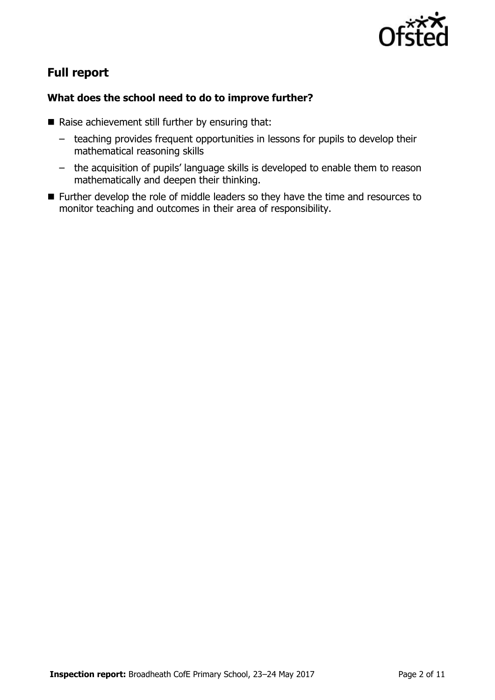

# **Full report**

### **What does the school need to do to improve further?**

- $\blacksquare$  Raise achievement still further by ensuring that:
	- teaching provides frequent opportunities in lessons for pupils to develop their mathematical reasoning skills
	- the acquisition of pupils' language skills is developed to enable them to reason mathematically and deepen their thinking.
- Further develop the role of middle leaders so they have the time and resources to monitor teaching and outcomes in their area of responsibility.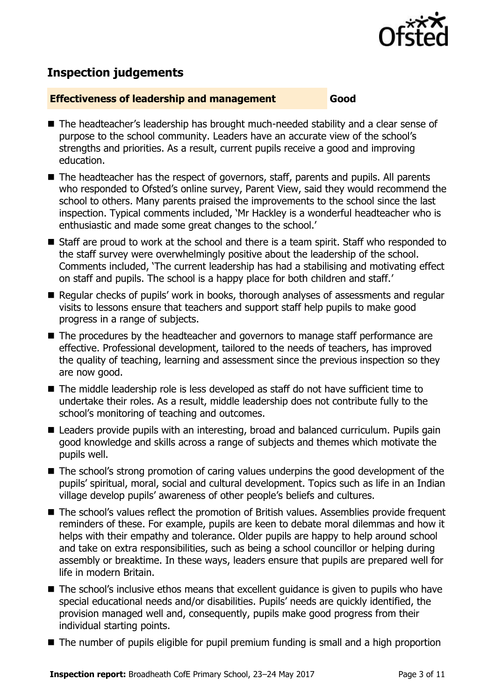

# **Inspection judgements**

#### **Effectiveness of leadership and management Good**

- The headteacher's leadership has brought much-needed stability and a clear sense of purpose to the school community. Leaders have an accurate view of the school's strengths and priorities. As a result, current pupils receive a good and improving education.
- The headteacher has the respect of governors, staff, parents and pupils. All parents who responded to Ofsted's online survey, Parent View, said they would recommend the school to others. Many parents praised the improvements to the school since the last inspection. Typical comments included, 'Mr Hackley is a wonderful headteacher who is enthusiastic and made some great changes to the school.'
- Staff are proud to work at the school and there is a team spirit. Staff who responded to the staff survey were overwhelmingly positive about the leadership of the school. Comments included, 'The current leadership has had a stabilising and motivating effect on staff and pupils. The school is a happy place for both children and staff.'
- Regular checks of pupils' work in books, thorough analyses of assessments and regular visits to lessons ensure that teachers and support staff help pupils to make good progress in a range of subjects.
- The procedures by the headteacher and governors to manage staff performance are effective. Professional development, tailored to the needs of teachers, has improved the quality of teaching, learning and assessment since the previous inspection so they are now good.
- The middle leadership role is less developed as staff do not have sufficient time to undertake their roles. As a result, middle leadership does not contribute fully to the school's monitoring of teaching and outcomes.
- Leaders provide pupils with an interesting, broad and balanced curriculum. Pupils gain good knowledge and skills across a range of subjects and themes which motivate the pupils well.
- The school's strong promotion of caring values underpins the good development of the pupils' spiritual, moral, social and cultural development. Topics such as life in an Indian village develop pupils' awareness of other people's beliefs and cultures.
- The school's values reflect the promotion of British values. Assemblies provide frequent reminders of these. For example, pupils are keen to debate moral dilemmas and how it helps with their empathy and tolerance. Older pupils are happy to help around school and take on extra responsibilities, such as being a school councillor or helping during assembly or breaktime. In these ways, leaders ensure that pupils are prepared well for life in modern Britain.
- The school's inclusive ethos means that excellent quidance is given to pupils who have special educational needs and/or disabilities. Pupils' needs are quickly identified, the provision managed well and, consequently, pupils make good progress from their individual starting points.
- The number of pupils eligible for pupil premium funding is small and a high proportion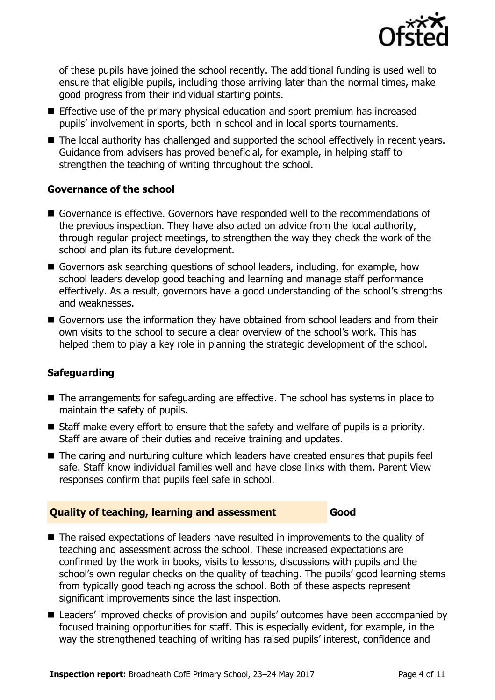

of these pupils have joined the school recently. The additional funding is used well to ensure that eligible pupils, including those arriving later than the normal times, make good progress from their individual starting points.

- Effective use of the primary physical education and sport premium has increased pupils' involvement in sports, both in school and in local sports tournaments.
- The local authority has challenged and supported the school effectively in recent years. Guidance from advisers has proved beneficial, for example, in helping staff to strengthen the teaching of writing throughout the school.

#### **Governance of the school**

- Governance is effective. Governors have responded well to the recommendations of the previous inspection. They have also acted on advice from the local authority, through regular project meetings, to strengthen the way they check the work of the school and plan its future development.
- Governors ask searching questions of school leaders, including, for example, how school leaders develop good teaching and learning and manage staff performance effectively. As a result, governors have a good understanding of the school's strengths and weaknesses.
- Governors use the information they have obtained from school leaders and from their own visits to the school to secure a clear overview of the school's work. This has helped them to play a key role in planning the strategic development of the school.

#### **Safeguarding**

- The arrangements for safeguarding are effective. The school has systems in place to maintain the safety of pupils.
- Staff make every effort to ensure that the safety and welfare of pupils is a priority. Staff are aware of their duties and receive training and updates.
- The caring and nurturing culture which leaders have created ensures that pupils feel safe. Staff know individual families well and have close links with them. Parent View responses confirm that pupils feel safe in school.

#### **Quality of teaching, learning and assessment Good**

- The raised expectations of leaders have resulted in improvements to the quality of teaching and assessment across the school. These increased expectations are confirmed by the work in books, visits to lessons, discussions with pupils and the school's own regular checks on the quality of teaching. The pupils' good learning stems from typically good teaching across the school. Both of these aspects represent significant improvements since the last inspection.
- Leaders' improved checks of provision and pupils' outcomes have been accompanied by focused training opportunities for staff. This is especially evident, for example, in the way the strengthened teaching of writing has raised pupils' interest, confidence and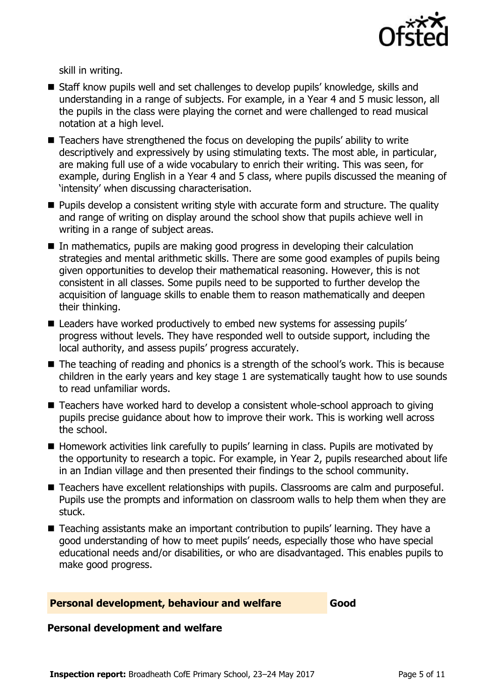

skill in writing.

- Staff know pupils well and set challenges to develop pupils' knowledge, skills and understanding in a range of subjects. For example, in a Year 4 and 5 music lesson, all the pupils in the class were playing the cornet and were challenged to read musical notation at a high level.
- Teachers have strengthened the focus on developing the pupils' ability to write descriptively and expressively by using stimulating texts. The most able, in particular, are making full use of a wide vocabulary to enrich their writing. This was seen, for example, during English in a Year 4 and 5 class, where pupils discussed the meaning of 'intensity' when discussing characterisation.
- **Pupils develop a consistent writing style with accurate form and structure. The quality** and range of writing on display around the school show that pupils achieve well in writing in a range of subject areas.
- In mathematics, pupils are making good progress in developing their calculation strategies and mental arithmetic skills. There are some good examples of pupils being given opportunities to develop their mathematical reasoning. However, this is not consistent in all classes. Some pupils need to be supported to further develop the acquisition of language skills to enable them to reason mathematically and deepen their thinking.
- Leaders have worked productively to embed new systems for assessing pupils' progress without levels. They have responded well to outside support, including the local authority, and assess pupils' progress accurately.
- The teaching of reading and phonics is a strength of the school's work. This is because children in the early years and key stage 1 are systematically taught how to use sounds to read unfamiliar words.
- Teachers have worked hard to develop a consistent whole-school approach to giving pupils precise guidance about how to improve their work. This is working well across the school.
- Homework activities link carefully to pupils' learning in class. Pupils are motivated by the opportunity to research a topic. For example, in Year 2, pupils researched about life in an Indian village and then presented their findings to the school community.
- Teachers have excellent relationships with pupils. Classrooms are calm and purposeful. Pupils use the prompts and information on classroom walls to help them when they are stuck.
- Teaching assistants make an important contribution to pupils' learning. They have a good understanding of how to meet pupils' needs, especially those who have special educational needs and/or disabilities, or who are disadvantaged. This enables pupils to make good progress.

#### **Personal development, behaviour and welfare Good**

#### **Personal development and welfare**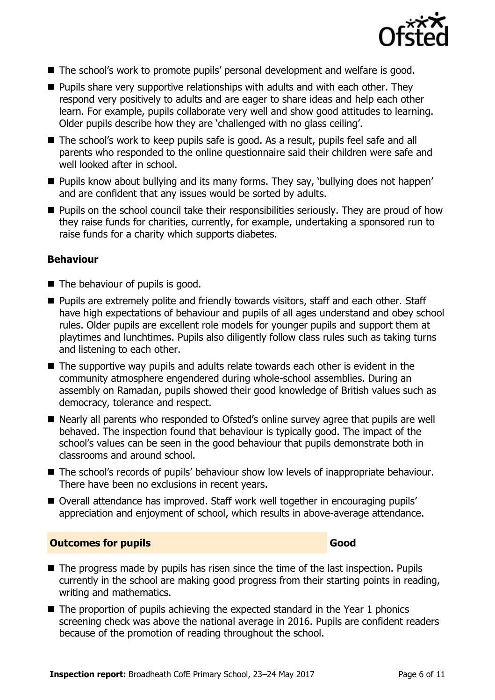

- The school's work to promote pupils' personal development and welfare is good.
- $\blacksquare$  Pupils share very supportive relationships with adults and with each other. They respond very positively to adults and are eager to share ideas and help each other learn. For example, pupils collaborate very well and show good attitudes to learning. Older pupils describe how they are 'challenged with no glass ceiling'.
- The school's work to keep pupils safe is good. As a result, pupils feel safe and all parents who responded to the online questionnaire said their children were safe and well looked after in school.
- **Pupils know about bullying and its many forms. They say, 'bullying does not happen'** and are confident that any issues would be sorted by adults.
- **Pupils on the school council take their responsibilities seriously. They are proud of how** they raise funds for charities, currently, for example, undertaking a sponsored run to raise funds for a charity which supports diabetes.

#### **Behaviour**

- The behaviour of pupils is good.
- **Pupils are extremely polite and friendly towards visitors, staff and each other. Staff** have high expectations of behaviour and pupils of all ages understand and obey school rules. Older pupils are excellent role models for younger pupils and support them at playtimes and lunchtimes. Pupils also diligently follow class rules such as taking turns and listening to each other.
- $\blacksquare$  The supportive way pupils and adults relate towards each other is evident in the community atmosphere engendered during whole-school assemblies. During an assembly on Ramadan, pupils showed their good knowledge of British values such as democracy, tolerance and respect.
- Nearly all parents who responded to Ofsted's online survey agree that pupils are well behaved. The inspection found that behaviour is typically good. The impact of the school's values can be seen in the good behaviour that pupils demonstrate both in classrooms and around school.
- The school's records of pupils' behaviour show low levels of inappropriate behaviour. There have been no exclusions in recent years.
- Overall attendance has improved. Staff work well together in encouraging pupils' appreciation and enjoyment of school, which results in above-average attendance.

#### **Outcomes for pupils Good**

- The progress made by pupils has risen since the time of the last inspection. Pupils currently in the school are making good progress from their starting points in reading, writing and mathematics.
- $\blacksquare$  The proportion of pupils achieving the expected standard in the Year 1 phonics screening check was above the national average in 2016. Pupils are confident readers because of the promotion of reading throughout the school.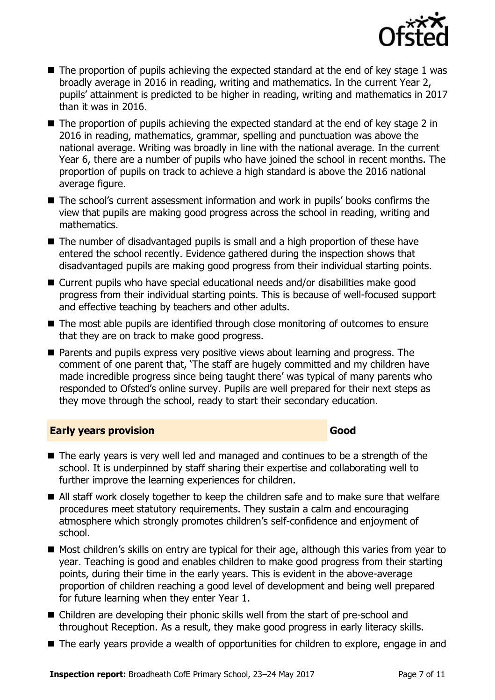

- $\blacksquare$  The proportion of pupils achieving the expected standard at the end of key stage 1 was broadly average in 2016 in reading, writing and mathematics. In the current Year 2, pupils' attainment is predicted to be higher in reading, writing and mathematics in 2017 than it was in 2016.
- $\blacksquare$  The proportion of pupils achieving the expected standard at the end of key stage 2 in 2016 in reading, mathematics, grammar, spelling and punctuation was above the national average. Writing was broadly in line with the national average. In the current Year 6, there are a number of pupils who have joined the school in recent months. The proportion of pupils on track to achieve a high standard is above the 2016 national average figure.
- The school's current assessment information and work in pupils' books confirms the view that pupils are making good progress across the school in reading, writing and mathematics.
- The number of disadvantaged pupils is small and a high proportion of these have entered the school recently. Evidence gathered during the inspection shows that disadvantaged pupils are making good progress from their individual starting points.
- Current pupils who have special educational needs and/or disabilities make good progress from their individual starting points. This is because of well-focused support and effective teaching by teachers and other adults.
- The most able pupils are identified through close monitoring of outcomes to ensure that they are on track to make good progress.
- **Parents and pupils express very positive views about learning and progress. The** comment of one parent that, 'The staff are hugely committed and my children have made incredible progress since being taught there' was typical of many parents who responded to Ofsted's online survey. Pupils are well prepared for their next steps as they move through the school, ready to start their secondary education.

#### **Early years provision Good Good**

- The early years is very well led and managed and continues to be a strength of the school. It is underpinned by staff sharing their expertise and collaborating well to further improve the learning experiences for children.
- All staff work closely together to keep the children safe and to make sure that welfare procedures meet statutory requirements. They sustain a calm and encouraging atmosphere which strongly promotes children's self-confidence and enjoyment of school.
- Most children's skills on entry are typical for their age, although this varies from year to year. Teaching is good and enables children to make good progress from their starting points, during their time in the early years. This is evident in the above-average proportion of children reaching a good level of development and being well prepared for future learning when they enter Year 1.
- Children are developing their phonic skills well from the start of pre-school and throughout Reception. As a result, they make good progress in early literacy skills.
- The early years provide a wealth of opportunities for children to explore, engage in and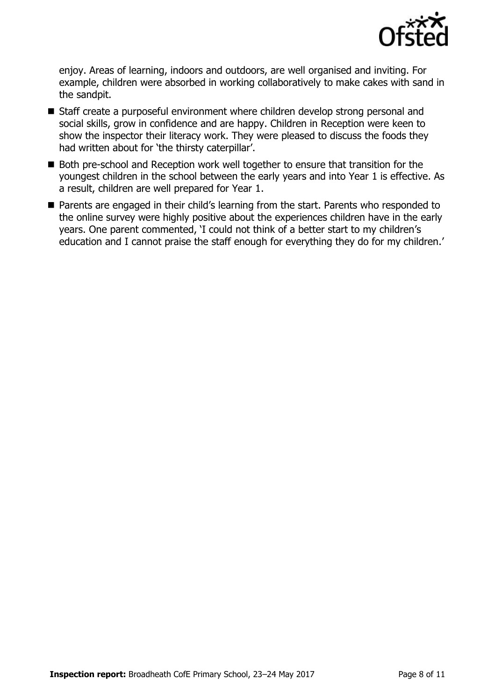

enjoy. Areas of learning, indoors and outdoors, are well organised and inviting. For example, children were absorbed in working collaboratively to make cakes with sand in the sandpit.

- Staff create a purposeful environment where children develop strong personal and social skills, grow in confidence and are happy. Children in Reception were keen to show the inspector their literacy work. They were pleased to discuss the foods they had written about for 'the thirsty caterpillar'.
- Both pre-school and Reception work well together to ensure that transition for the youngest children in the school between the early years and into Year 1 is effective. As a result, children are well prepared for Year 1.
- Parents are engaged in their child's learning from the start. Parents who responded to the online survey were highly positive about the experiences children have in the early years. One parent commented, 'I could not think of a better start to my children's education and I cannot praise the staff enough for everything they do for my children.'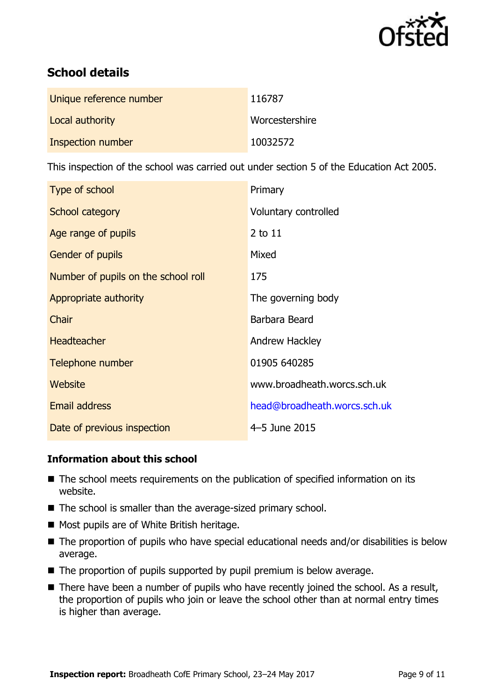

# **School details**

| Unique reference number | 116787         |
|-------------------------|----------------|
| Local authority         | Worcestershire |
| Inspection number       | 10032572       |

This inspection of the school was carried out under section 5 of the Education Act 2005.

| Type of school                      | Primary                      |
|-------------------------------------|------------------------------|
| School category                     | Voluntary controlled         |
| Age range of pupils                 | 2 to 11                      |
| <b>Gender of pupils</b>             | Mixed                        |
| Number of pupils on the school roll | 175                          |
| Appropriate authority               | The governing body           |
| Chair                               | Barbara Beard                |
| <b>Headteacher</b>                  | Andrew Hackley               |
| Telephone number                    | 01905 640285                 |
| <b>Website</b>                      | www.broadheath.worcs.sch.uk  |
| <b>Email address</b>                | head@broadheath.worcs.sch.uk |
| Date of previous inspection         | 4-5 June 2015                |

#### **Information about this school**

- The school meets requirements on the publication of specified information on its website.
- The school is smaller than the average-sized primary school.
- Most pupils are of White British heritage.
- The proportion of pupils who have special educational needs and/or disabilities is below average.
- $\blacksquare$  The proportion of pupils supported by pupil premium is below average.
- There have been a number of pupils who have recently joined the school. As a result, the proportion of pupils who join or leave the school other than at normal entry times is higher than average.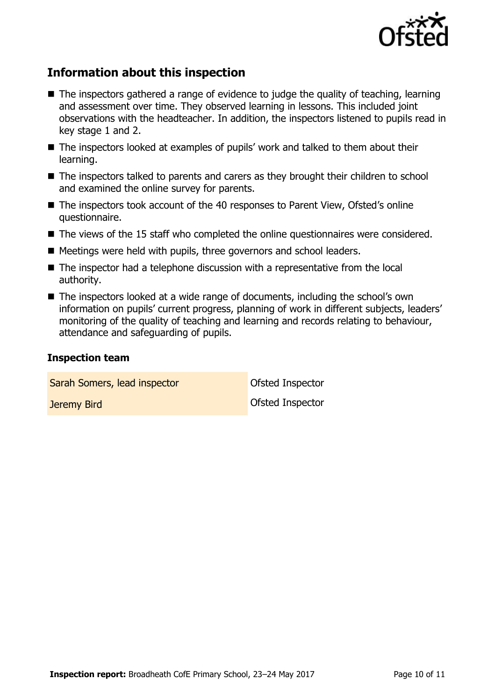

# **Information about this inspection**

- The inspectors gathered a range of evidence to judge the quality of teaching, learning and assessment over time. They observed learning in lessons. This included joint observations with the headteacher. In addition, the inspectors listened to pupils read in key stage 1 and 2.
- The inspectors looked at examples of pupils' work and talked to them about their learning.
- The inspectors talked to parents and carers as they brought their children to school and examined the online survey for parents.
- The inspectors took account of the 40 responses to Parent View, Ofsted's online questionnaire.
- The views of the 15 staff who completed the online questionnaires were considered.
- Meetings were held with pupils, three governors and school leaders.
- The inspector had a telephone discussion with a representative from the local authority.
- The inspectors looked at a wide range of documents, including the school's own information on pupils' current progress, planning of work in different subjects, leaders' monitoring of the quality of teaching and learning and records relating to behaviour, attendance and safeguarding of pupils.

#### **Inspection team**

Sarah Somers, lead inspector **Constant Constant Constant** Ofsted Inspector

**Jeremy Bird Construction Construction Construction Construction Construction Construction Construction Construction**